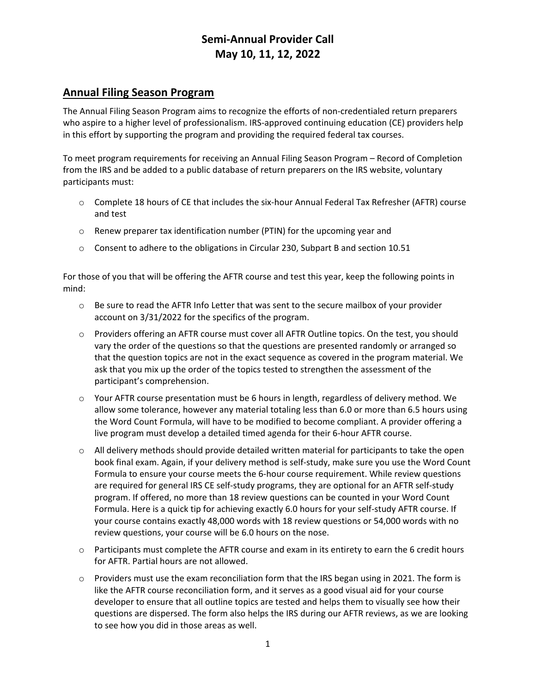# **Semi-Annual Provider Call May 10, 11, 12, 2022**

## **Annual Filing Season Program**

The Annual Filing Season Program aims to recognize the efforts of non-credentialed return preparers who aspire to a higher level of professionalism. IRS-approved continuing education (CE) providers help in this effort by supporting the program and providing the required federal tax courses.

To meet program requirements for receiving an Annual Filing Season Program – Record of Completion from the IRS and be added to a public database of return preparers on the IRS website, voluntary participants must:

- o Complete 18 hours of CE that includes the six-hour Annual Federal Tax Refresher (AFTR) course and test
- o Renew preparer tax identification number (PTIN) for the upcoming year and
- $\circ$  Consent to adhere to the obligations in Circular 230, Subpart B and section 10.51

For those of you that will be offering the AFTR course and test this year, keep the following points in mind:

- $\circ$  Be sure to read the AFTR Info Letter that was sent to the secure mailbox of your provider account on 3/31/2022 for the specifics of the program.
- o Providers offering an AFTR course must cover all AFTR Outline topics. On the test, you should vary the order of the questions so that the questions are presented randomly or arranged so that the question topics are not in the exact sequence as covered in the program material. We ask that you mix up the order of the topics tested to strengthen the assessment of the participant's comprehension.
- $\circ$  Your AFTR course presentation must be 6 hours in length, regardless of delivery method. We allow some tolerance, however any material totaling less than 6.0 or more than 6.5 hours using the Word Count Formula, will have to be modified to become compliant. A provider offering a live program must develop a detailed timed agenda for their 6-hour AFTR course.
- $\circ$  All delivery methods should provide detailed written material for participants to take the open book final exam. Again, if your delivery method is self-study, make sure you use the Word Count Formula to ensure your course meets the 6-hour course requirement. While review questions are required for general IRS CE self-study programs, they are optional for an AFTR self-study program. If offered, no more than 18 review questions can be counted in your Word Count Formula. Here is a quick tip for achieving exactly 6.0 hours for your self-study AFTR course. If your course contains exactly 48,000 words with 18 review questions or 54,000 words with no review questions, your course will be 6.0 hours on the nose.
- $\circ$  Participants must complete the AFTR course and exam in its entirety to earn the 6 credit hours for AFTR. Partial hours are not allowed.
- $\circ$  Providers must use the exam reconciliation form that the IRS began using in 2021. The form is like the AFTR course reconciliation form, and it serves as a good visual aid for your course developer to ensure that all outline topics are tested and helps them to visually see how their questions are dispersed. The form also helps the IRS during our AFTR reviews, as we are looking to see how you did in those areas as well.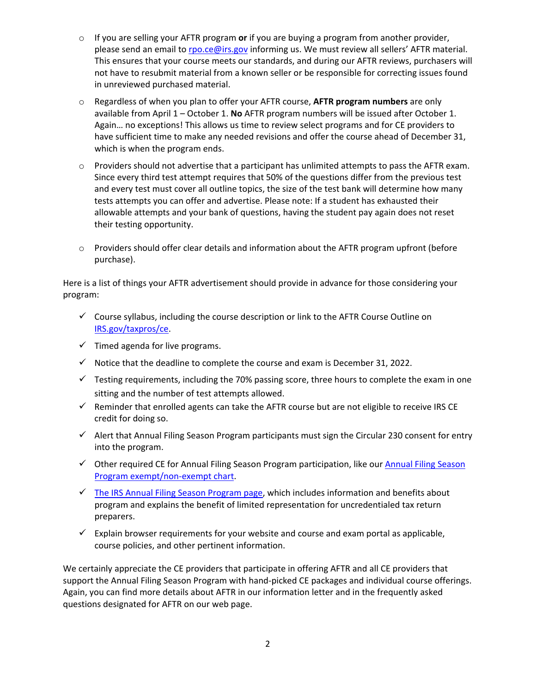- o If you are selling your AFTR program **or** if you are buying a program from another provider, please send an email t[o rpo.ce@irs.gov](mailto:rpo.ce@irs.gov) informing us. We must review all sellers' AFTR material. This ensures that your course meets our standards, and during our AFTR reviews, purchasers will not have to resubmit material from a known seller or be responsible for correcting issues found in unreviewed purchased material.
- o Regardless of when you plan to offer your AFTR course, **AFTR program numbers** are only available from April 1 – October 1. **No** AFTR program numbers will be issued after October 1. Again… no exceptions! This allows us time to review select programs and for CE providers to have sufficient time to make any needed revisions and offer the course ahead of December 31, which is when the program ends.
- $\circ$  Providers should not advertise that a participant has unlimited attempts to pass the AFTR exam. Since every third test attempt requires that 50% of the questions differ from the previous test and every test must cover all outline topics, the size of the test bank will determine how many tests attempts you can offer and advertise. Please note: If a student has exhausted their allowable attempts and your bank of questions, having the student pay again does not reset their testing opportunity.
- o Providers should offer clear details and information about the AFTR program upfront (before purchase).

Here is a list of things your AFTR advertisement should provide in advance for those considering your program:

- $\checkmark$  Course syllabus, including the course description or link to the AFTR Course Outline on [IRS.gov/taxpros/ce.](http://www.irs.gov/taxpros/ce)
- $\checkmark$  Timed agenda for live programs.
- $\checkmark$  Notice that the deadline to complete the course and exam is December 31, 2022.
- $\checkmark$  Testing requirements, including the 70% passing score, three hours to complete the exam in one sitting and the number of test attempts allowed.
- $\checkmark$  Reminder that enrolled agents can take the AFTR course but are not eligible to receive IRS CE credit for doing so.
- $\checkmark$  Alert that Annual Filing Season Program participants must sign the Circular 230 consent for entry into the program.
- $\checkmark$  Other required CE for [Annual Filing Season](https://www.irs.gov/pub/irs-utl/afsp_exempt_non-exempt_ce_chart.pdf) Program participation, like our Annual Filing Season [Program exempt/non-exempt chart.](https://www.irs.gov/pub/irs-utl/afsp_exempt_non-exempt_ce_chart.pdf)
- $\checkmark$  The IRS [Annual Filing Season Program page,](https://www.irs.gov/tax-professionals/annual-filing-season-program) which includes information and benefits about program and explains the benefit of limited representation for uncredentialed tax return preparers.
- $\checkmark$  Explain browser requirements for your website and course and exam portal as applicable, course policies, and other pertinent information.

We certainly appreciate the CE providers that participate in offering AFTR and all CE providers that support the Annual Filing Season Program with hand-picked CE packages and individual course offerings. Again, you can find more details about AFTR in our information letter and in the frequently asked questions designated for AFTR on our web page.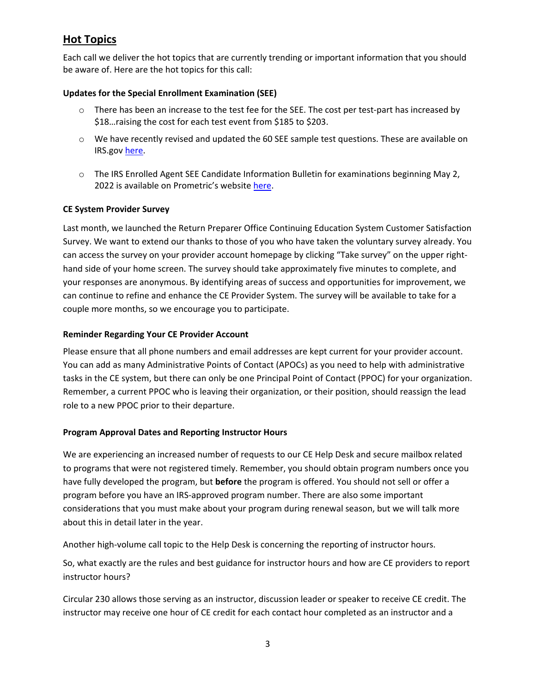## **Hot Topics**

Each call we deliver the hot topics that are currently trending or important information that you should be aware of. Here are the hot topics for this call:

### **Updates for the Special Enrollment Examination (SEE)**

- $\circ$  There has been an increase to the test fee for the SEE. The cost per test-part has increased by \$18…raising the cost for each test event from \$185 to \$203.
- $\circ$  We have recently revised and updated the 60 SEE sample test questions. These are available on IRS.gov [here.](https://www.irs.gov/tax-professionals/enrolled-agents/sample-special-enrollment-examination-questions-and-official-answers)
- $\circ$  The IRS Enrolled Agent SEE Candidate Information Bulletin for examinations beginning May 2, 2022 is available on Prometric's websit[e here.](https://www.prometric.com/sites/default/files/2022-04/IRS%20SEE%20Candidate%20Information%20Bulletin%20May%201%202022.pdf)

### **CE System Provider Survey**

Last month, we launched the Return Preparer Office Continuing Education System Customer Satisfaction Survey. We want to extend our thanks to those of you who have taken the voluntary survey already. You can access the survey on your provider account homepage by clicking "Take survey" on the upper righthand side of your home screen. The survey should take approximately five minutes to complete, and your responses are anonymous. By identifying areas of success and opportunities for improvement, we can continue to refine and enhance the CE Provider System. The survey will be available to take for a couple more months, so we encourage you to participate.

### **Reminder Regarding Your CE Provider Account**

Please ensure that all phone numbers and email addresses are kept current for your provider account. You can add as many Administrative Points of Contact (APOCs) as you need to help with administrative tasks in the CE system, but there can only be one Principal Point of Contact (PPOC) for your organization. Remember, a current PPOC who is leaving their organization, or their position, should reassign the lead role to a new PPOC prior to their departure.

#### **Program Approval Dates and Reporting Instructor Hours**

We are experiencing an increased number of requests to our CE Help Desk and secure mailbox related to programs that were not registered timely. Remember, you should obtain program numbers once you have fully developed the program, but **before** the program is offered. You should not sell or offer a program before you have an IRS-approved program number. There are also some important considerations that you must make about your program during renewal season, but we will talk more about this in detail later in the year.

Another high-volume call topic to the Help Desk is concerning the reporting of instructor hours.

So, what exactly are the rules and best guidance for instructor hours and how are CE providers to report instructor hours?

Circular 230 allows those serving as an instructor, discussion leader or speaker to receive CE credit. The instructor may receive one hour of CE credit for each contact hour completed as an instructor and a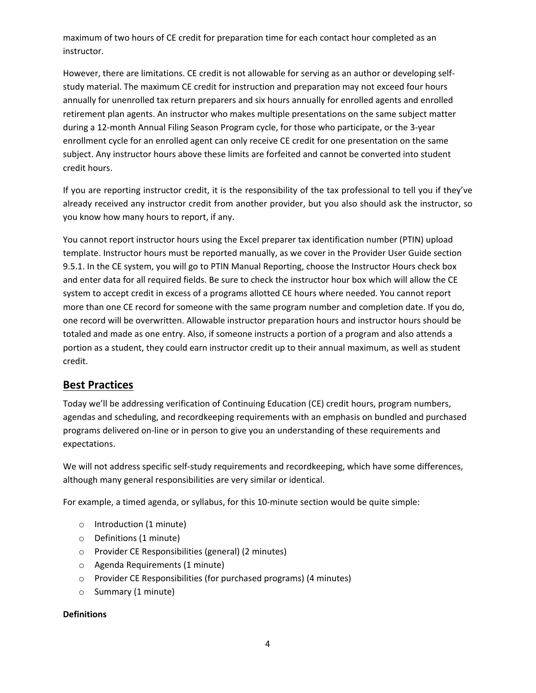maximum of two hours of CE credit for preparation time for each contact hour completed as an instructor.

However, there are limitations. CE credit is not allowable for serving as an author or developing selfstudy material. The maximum CE credit for instruction and preparation may not exceed four hours annually for unenrolled tax return preparers and six hours annually for enrolled agents and enrolled retirement plan agents. An instructor who makes multiple presentations on the same subject matter during a 12-month Annual Filing Season Program cycle, for those who participate, or the 3-year enrollment cycle for an enrolled agent can only receive CE credit for one presentation on the same subject. Any instructor hours above these limits are forfeited and cannot be converted into student credit hours.

If you are reporting instructor credit, it is the responsibility of the tax professional to tell you if they've already received any instructor credit from another provider, but you also should ask the instructor, so you know how many hours to report, if any.

You cannot report instructor hours using the Excel preparer tax identification number (PTIN) upload template. Instructor hours must be reported manually, as we cover in the Provider User Guide section 9.5.1. In the CE system, you will go to PTIN Manual Reporting, choose the Instructor Hours check box and enter data for all required fields. Be sure to check the instructor hour box which will allow the CE system to accept credit in excess of a programs allotted CE hours where needed. You cannot report more than one CE record for someone with the same program number and completion date. If you do, one record will be overwritten. Allowable instructor preparation hours and instructor hours should be totaled and made as one entry. Also, if someone instructs a portion of a program and also attends a portion as a student, they could earn instructor credit up to their annual maximum, as well as student credit.

## **Best Practices**

Today we'll be addressing verification of Continuing Education (CE) credit hours, program numbers, agendas and scheduling, and recordkeeping requirements with an emphasis on bundled and purchased programs delivered on-line or in person to give you an understanding of these requirements and expectations.

We will not address specific self-study requirements and recordkeeping, which have some differences, although many general responsibilities are very similar or identical.

For example, a timed agenda, or syllabus, for this 10-minute section would be quite simple:

- o Introduction (1 minute)
- o Definitions (1 minute)
- o Provider CE Responsibilities (general) (2 minutes)
- o Agenda Requirements (1 minute)
- o Provider CE Responsibilities (for purchased programs) (4 minutes)
- o Summary (1 minute)

#### **Definitions**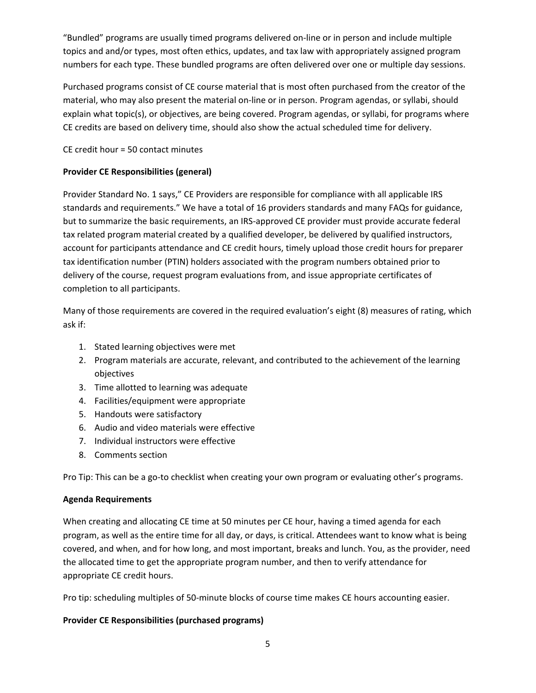"Bundled" programs are usually timed programs delivered on-line or in person and include multiple topics and and/or types, most often ethics, updates, and tax law with appropriately assigned program numbers for each type. These bundled programs are often delivered over one or multiple day sessions.

Purchased programs consist of CE course material that is most often purchased from the creator of the material, who may also present the material on-line or in person. Program agendas, or syllabi, should explain what topic(s), or objectives, are being covered. Program agendas, or syllabi, for programs where CE credits are based on delivery time, should also show the actual scheduled time for delivery.

CE credit hour = 50 contact minutes

### **Provider CE Responsibilities (general)**

Provider Standard No. 1 says," CE Providers are responsible for compliance with all applicable IRS standards and requirements." We have a total of 16 providers standards and many FAQs for guidance, but to summarize the basic requirements, an IRS-approved CE provider must provide accurate federal tax related program material created by a qualified developer, be delivered by qualified instructors, account for participants attendance and CE credit hours, timely upload those credit hours for preparer tax identification number (PTIN) holders associated with the program numbers obtained prior to delivery of the course, request program evaluations from, and issue appropriate certificates of completion to all participants.

Many of those requirements are covered in the required evaluation's eight (8) measures of rating, which ask if:

- 1. Stated learning objectives were met
- 2. Program materials are accurate, relevant, and contributed to the achievement of the learning objectives
- 3. Time allotted to learning was adequate
- 4. Facilities/equipment were appropriate
- 5. Handouts were satisfactory
- 6. Audio and video materials were effective
- 7. Individual instructors were effective
- 8. Comments section

Pro Tip: This can be a go-to checklist when creating your own program or evaluating other's programs.

#### **Agenda Requirements**

When creating and allocating CE time at 50 minutes per CE hour, having a timed agenda for each program, as well as the entire time for all day, or days, is critical. Attendees want to know what is being covered, and when, and for how long, and most important, breaks and lunch. You, as the provider, need the allocated time to get the appropriate program number, and then to verify attendance for appropriate CE credit hours.

Pro tip: scheduling multiples of 50-minute blocks of course time makes CE hours accounting easier.

#### **Provider CE Responsibilities (purchased programs)**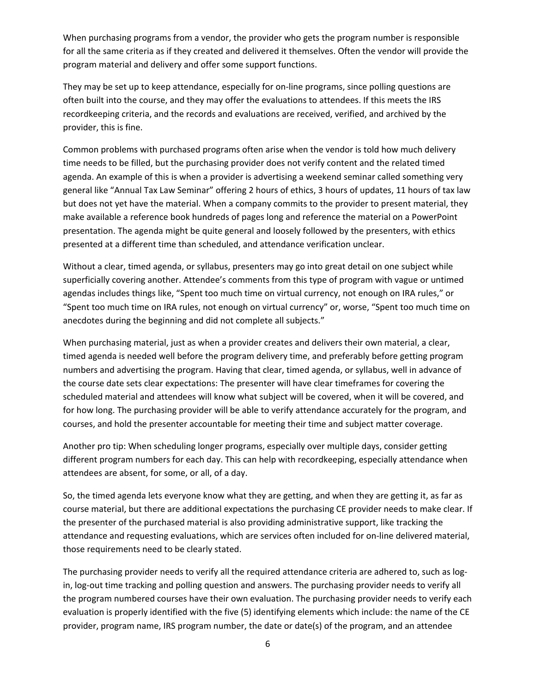When purchasing programs from a vendor, the provider who gets the program number is responsible for all the same criteria as if they created and delivered it themselves. Often the vendor will provide the program material and delivery and offer some support functions.

They may be set up to keep attendance, especially for on-line programs, since polling questions are often built into the course, and they may offer the evaluations to attendees. If this meets the IRS recordkeeping criteria, and the records and evaluations are received, verified, and archived by the provider, this is fine.

Common problems with purchased programs often arise when the vendor is told how much delivery time needs to be filled, but the purchasing provider does not verify content and the related timed agenda. An example of this is when a provider is advertising a weekend seminar called something very general like "Annual Tax Law Seminar" offering 2 hours of ethics, 3 hours of updates, 11 hours of tax law but does not yet have the material. When a company commits to the provider to present material, they make available a reference book hundreds of pages long and reference the material on a PowerPoint presentation. The agenda might be quite general and loosely followed by the presenters, with ethics presented at a different time than scheduled, and attendance verification unclear.

Without a clear, timed agenda, or syllabus, presenters may go into great detail on one subject while superficially covering another. Attendee's comments from this type of program with vague or untimed agendas includes things like, "Spent too much time on virtual currency, not enough on IRA rules," or "Spent too much time on IRA rules, not enough on virtual currency" or, worse, "Spent too much time on anecdotes during the beginning and did not complete all subjects."

When purchasing material, just as when a provider creates and delivers their own material, a clear, timed agenda is needed well before the program delivery time, and preferably before getting program numbers and advertising the program. Having that clear, timed agenda, or syllabus, well in advance of the course date sets clear expectations: The presenter will have clear timeframes for covering the scheduled material and attendees will know what subject will be covered, when it will be covered, and for how long. The purchasing provider will be able to verify attendance accurately for the program, and courses, and hold the presenter accountable for meeting their time and subject matter coverage.

Another pro tip: When scheduling longer programs, especially over multiple days, consider getting different program numbers for each day. This can help with recordkeeping, especially attendance when attendees are absent, for some, or all, of a day.

So, the timed agenda lets everyone know what they are getting, and when they are getting it, as far as course material, but there are additional expectations the purchasing CE provider needs to make clear. If the presenter of the purchased material is also providing administrative support, like tracking the attendance and requesting evaluations, which are services often included for on-line delivered material, those requirements need to be clearly stated.

The purchasing provider needs to verify all the required attendance criteria are adhered to, such as login, log-out time tracking and polling question and answers. The purchasing provider needs to verify all the program numbered courses have their own evaluation. The purchasing provider needs to verify each evaluation is properly identified with the five (5) identifying elements which include: the name of the CE provider, program name, IRS program number, the date or date(s) of the program, and an attendee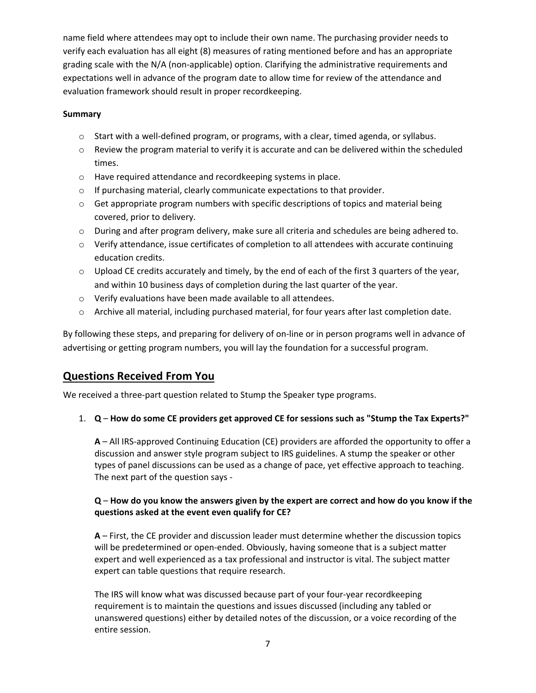name field where attendees may opt to include their own name. The purchasing provider needs to verify each evaluation has all eight (8) measures of rating mentioned before and has an appropriate grading scale with the N/A (non-applicable) option. Clarifying the administrative requirements and expectations well in advance of the program date to allow time for review of the attendance and evaluation framework should result in proper recordkeeping.

### **Summary**

- $\circ$  Start with a well-defined program, or programs, with a clear, timed agenda, or syllabus.
- $\circ$  Review the program material to verify it is accurate and can be delivered within the scheduled times.
- o Have required attendance and recordkeeping systems in place.
- $\circ$  If purchasing material, clearly communicate expectations to that provider.
- $\circ$  Get appropriate program numbers with specific descriptions of topics and material being covered, prior to delivery.
- $\circ$  During and after program delivery, make sure all criteria and schedules are being adhered to.
- $\circ$  Verify attendance, issue certificates of completion to all attendees with accurate continuing education credits.
- $\circ$  Upload CE credits accurately and timely, by the end of each of the first 3 quarters of the year, and within 10 business days of completion during the last quarter of the year.
- o Verify evaluations have been made available to all attendees.
- o Archive all material, including purchased material, for four years after last completion date.

By following these steps, and preparing for delivery of on-line or in person programs well in advance of advertising or getting program numbers, you will lay the foundation for a successful program.

## **Questions Received From You**

We received a three-part question related to Stump the Speaker type programs.

1. **Q** – **How do some CE providers get approved CE for sessions such as "Stump the Tax Experts?"** 

**A** – All IRS-approved Continuing Education (CE) providers are afforded the opportunity to offer a discussion and answer style program subject to IRS guidelines. A stump the speaker or other types of panel discussions can be used as a change of pace, yet effective approach to teaching. The next part of the question says -

### **Q** – **How do you know the answers given by the expert are correct and how do you know if the questions asked at the event even qualify for CE?**

**A** – First, the CE provider and discussion leader must determine whether the discussion topics will be predetermined or open-ended. Obviously, having someone that is a subject matter expert and well experienced as a tax professional and instructor is vital. The subject matter expert can table questions that require research.

The IRS will know what was discussed because part of your four-year recordkeeping requirement is to maintain the questions and issues discussed (including any tabled or unanswered questions) either by detailed notes of the discussion, or a voice recording of the entire session.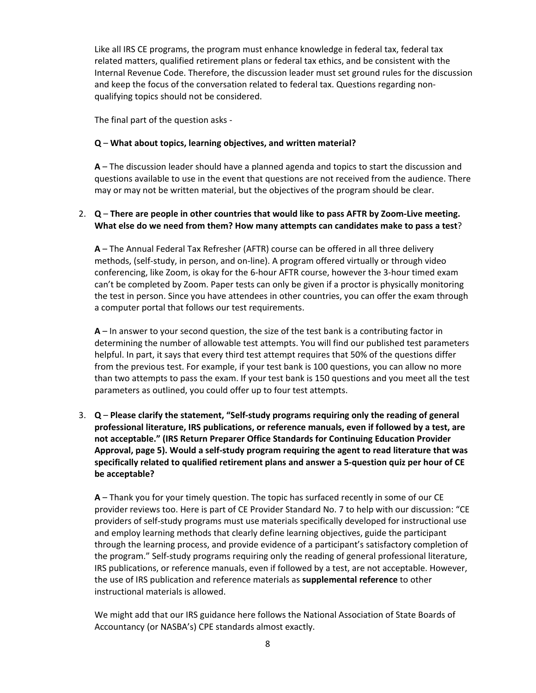Like all IRS CE programs, the program must enhance knowledge in federal tax, federal tax related matters, qualified retirement plans or federal tax ethics, and be consistent with the Internal Revenue Code. Therefore, the discussion leader must set ground rules for the discussion and keep the focus of the conversation related to federal tax. Questions regarding nonqualifying topics should not be considered.

The final part of the question asks -

### **Q** – **What about topics, learning objectives, and written material?**

**A** – The discussion leader should have a planned agenda and topics to start the discussion and questions available to use in the event that questions are not received from the audience. There may or may not be written material, but the objectives of the program should be clear.

### 2. **Q** – **There are people in other countries that would like to pass AFTR by Zoom-Live meeting. What else do we need from them? How many attempts can candidates make to pass a test**?

**A** – The Annual Federal Tax Refresher (AFTR) course can be offered in all three delivery methods, (self-study, in person, and on-line). A program offered virtually or through video conferencing, like Zoom, is okay for the 6-hour AFTR course, however the 3-hour timed exam can't be completed by Zoom. Paper tests can only be given if a proctor is physically monitoring the test in person. Since you have attendees in other countries, you can offer the exam through a computer portal that follows our test requirements.

**A** – In answer to your second question, the size of the test bank is a contributing factor in determining the number of allowable test attempts. You will find our published test parameters helpful. In part, it says that every third test attempt requires that 50% of the questions differ from the previous test. For example, if your test bank is 100 questions, you can allow no more than two attempts to pass the exam. If your test bank is 150 questions and you meet all the test parameters as outlined, you could offer up to four test attempts.

3. **Q** – **Please clarify the statement, "Self-study programs requiring only the reading of general professional literature, IRS publications, or reference manuals, even if followed by a test, are not acceptable." (IRS Return Preparer Office Standards for Continuing Education Provider Approval, page 5). Would a self-study program requiring the agent to read literature that was specifically related to qualified retirement plans and answer a 5-question quiz per hour of CE be acceptable?** 

**A** – Thank you for your timely question. The topic has surfaced recently in some of our CE provider reviews too. Here is part of CE Provider Standard No. 7 to help with our discussion: "CE providers of self-study programs must use materials specifically developed for instructional use and employ learning methods that clearly define learning objectives, guide the participant through the learning process, and provide evidence of a participant's satisfactory completion of the program." Self-study programs requiring only the reading of general professional literature, IRS publications, or reference manuals, even if followed by a test, are not acceptable. However, the use of IRS publication and reference materials as **supplemental reference** to other instructional materials is allowed.

We might add that our IRS guidance here follows the National Association of State Boards of Accountancy (or NASBA's) CPE standards almost exactly.